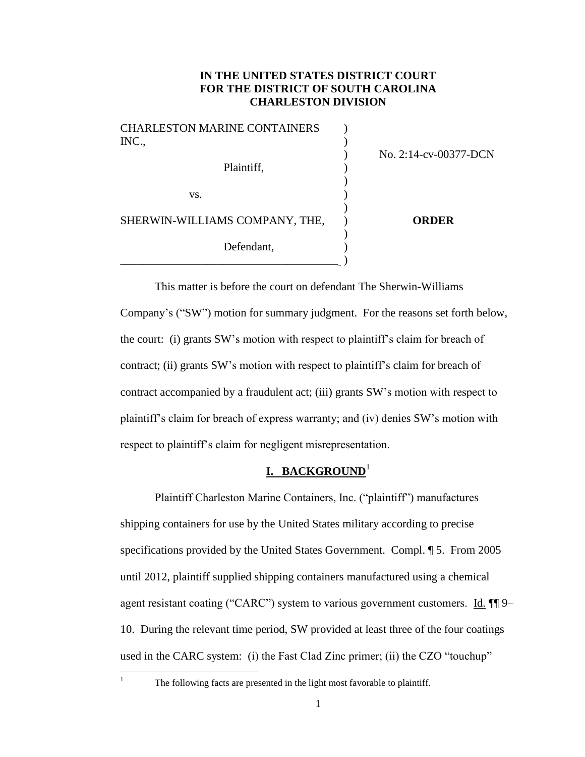# **IN THE UNITED STATES DISTRICT COURT FOR THE DISTRICT OF SOUTH CAROLINA CHARLESTON DIVISION**

| <b>CHARLESTON MARINE CONTAINERS</b><br>INC., | No. 2:14-cv-00377-DCN |
|----------------------------------------------|-----------------------|
| Plaintiff,                                   |                       |
| VS.                                          |                       |
| SHERWIN-WILLIAMS COMPANY, THE,               | <b>ORDER</b>          |
| Defendant,                                   |                       |

This matter is before the court on defendant The Sherwin-Williams Company's ("SW") motion for summary judgment. For the reasons set forth below, the court: (i) grants SW's motion with respect to plaintiff's claim for breach of contract; (ii) grants SW's motion with respect to plaintiff's claim for breach of contract accompanied by a fraudulent act; (iii) grants SW's motion with respect to plaintiff's claim for breach of express warranty; and (iv) denies SW's motion with respect to plaintiff's claim for negligent misrepresentation.

# **I. BACKGROUND**<sup>1</sup>

Plaintiff Charleston Marine Containers, Inc. ("plaintiff") manufactures shipping containers for use by the United States military according to precise specifications provided by the United States Government. Compl. ¶ 5. From 2005 until 2012, plaintiff supplied shipping containers manufactured using a chemical agent resistant coating ("CARC") system to various government customers. Id.  $\P$ 9– 10. During the relevant time period, SW provided at least three of the four coatings used in the CARC system: (i) the Fast Clad Zinc primer; (ii) the CZO "touchup"

 $\mathbf{1}$ 

The following facts are presented in the light most favorable to plaintiff.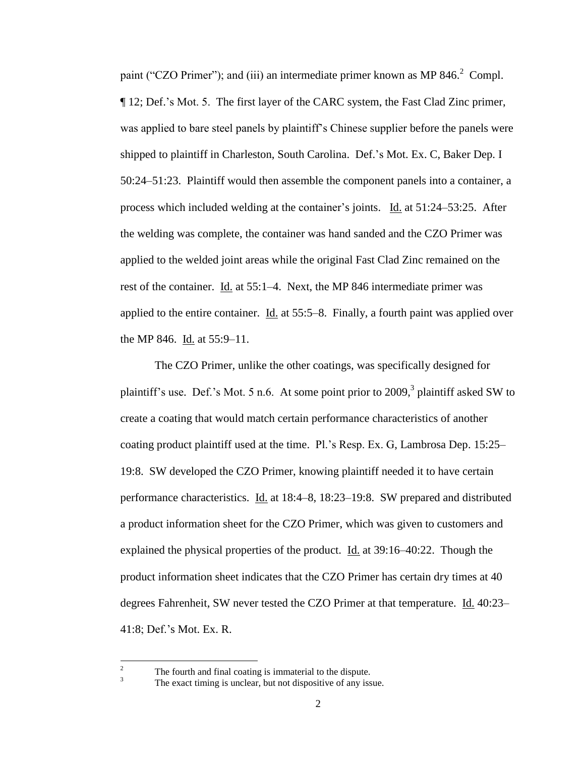paint ("CZO Primer"); and (iii) an intermediate primer known as MP 846. $^2$  Compl. ¶ 12; Def.'s Mot. 5. The first layer of the CARC system, the Fast Clad Zinc primer, was applied to bare steel panels by plaintiff's Chinese supplier before the panels were shipped to plaintiff in Charleston, South Carolina. Def.'s Mot. Ex. C, Baker Dep. I 50:24–51:23. Plaintiff would then assemble the component panels into a container, a process which included welding at the container's joints. Id. at 51:24–53:25. After the welding was complete, the container was hand sanded and the CZO Primer was applied to the welded joint areas while the original Fast Clad Zinc remained on the rest of the container. Id. at 55:1-4. Next, the MP 846 intermediate primer was applied to the entire container. Id. at 55:5–8. Finally, a fourth paint was applied over the MP 846. Id. at 55:9–11.

The CZO Primer, unlike the other coatings, was specifically designed for plaintiff's use. Def.'s Mot. 5 n.6. At some point prior to 2009,<sup>3</sup> plaintiff asked SW to create a coating that would match certain performance characteristics of another coating product plaintiff used at the time. Pl.'s Resp. Ex. G, Lambrosa Dep. 15:25– 19:8. SW developed the CZO Primer, knowing plaintiff needed it to have certain performance characteristics. Id. at 18:4–8, 18:23–19:8. SW prepared and distributed a product information sheet for the CZO Primer, which was given to customers and explained the physical properties of the product. Id. at  $39:16-40:22$ . Though the product information sheet indicates that the CZO Primer has certain dry times at 40 degrees Fahrenheit, SW never tested the CZO Primer at that temperature. Id. 40:23– 41:8; Def.'s Mot. Ex. R.

 $\frac{2}{3}$  The fourth and final coating is immaterial to the dispute.

 $\overline{c}$ 

The exact timing is unclear, but not dispositive of any issue.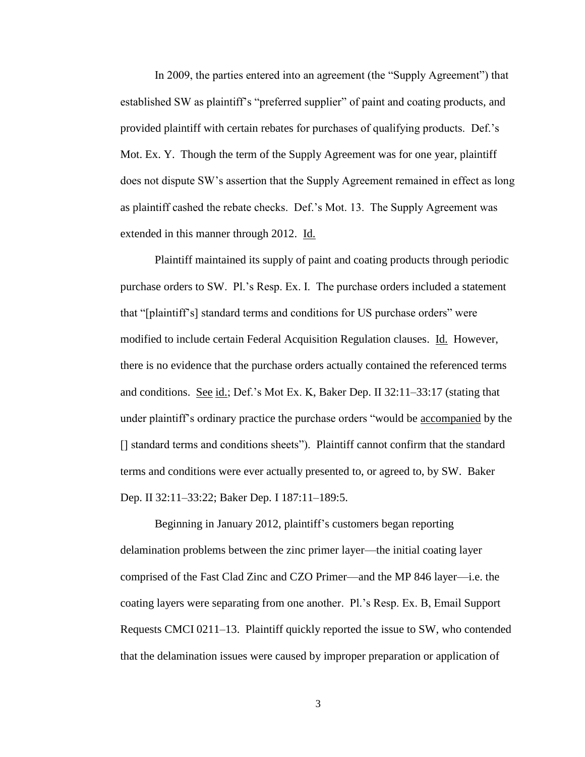In 2009, the parties entered into an agreement (the "Supply Agreement") that established SW as plaintiff's "preferred supplier" of paint and coating products, and provided plaintiff with certain rebates for purchases of qualifying products. Def.'s Mot. Ex. Y. Though the term of the Supply Agreement was for one year, plaintiff does not dispute SW's assertion that the Supply Agreement remained in effect as long as plaintiff cashed the rebate checks. Def.'s Mot. 13. The Supply Agreement was extended in this manner through 2012. Id.

Plaintiff maintained its supply of paint and coating products through periodic purchase orders to SW. Pl.'s Resp. Ex. I. The purchase orders included a statement that "[plaintiff's] standard terms and conditions for US purchase orders" were modified to include certain Federal Acquisition Regulation clauses. Id. However, there is no evidence that the purchase orders actually contained the referenced terms and conditions. See id.; Def.'s Mot Ex. K, Baker Dep. II 32:11–33:17 (stating that under plaintiff's ordinary practice the purchase orders "would be accompanied by the [] standard terms and conditions sheets"). Plaintiff cannot confirm that the standard terms and conditions were ever actually presented to, or agreed to, by SW. Baker Dep. II 32:11–33:22; Baker Dep. I 187:11–189:5.

Beginning in January 2012, plaintiff's customers began reporting delamination problems between the zinc primer layer—the initial coating layer comprised of the Fast Clad Zinc and CZO Primer—and the MP 846 layer—i.e. the coating layers were separating from one another. Pl.'s Resp. Ex. B, Email Support Requests CMCI 0211–13. Plaintiff quickly reported the issue to SW, who contended that the delamination issues were caused by improper preparation or application of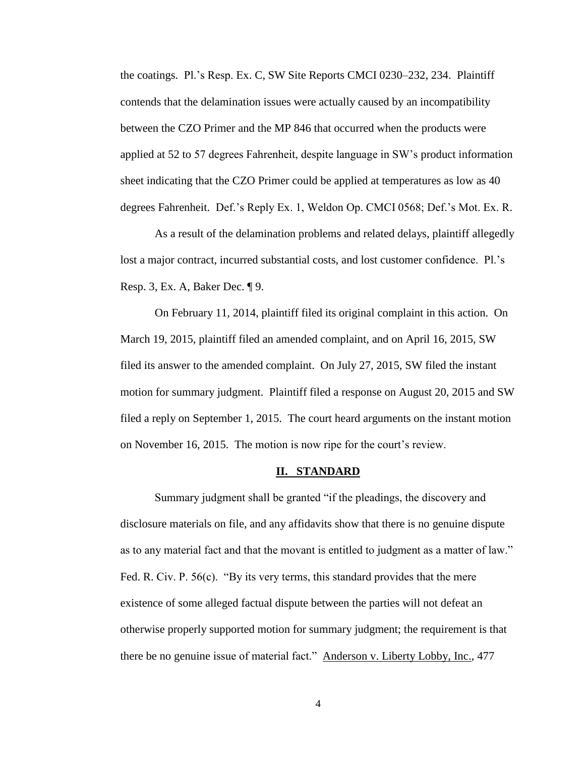the coatings. Pl.'s Resp. Ex. C, SW Site Reports CMCI 0230–232, 234. Plaintiff contends that the delamination issues were actually caused by an incompatibility between the CZO Primer and the MP 846 that occurred when the products were applied at 52 to 57 degrees Fahrenheit, despite language in SW's product information sheet indicating that the CZO Primer could be applied at temperatures as low as 40 degrees Fahrenheit. Def.'s Reply Ex. 1, Weldon Op. CMCI 0568; Def.'s Mot. Ex. R.

As a result of the delamination problems and related delays, plaintiff allegedly lost a major contract, incurred substantial costs, and lost customer confidence. Pl.'s Resp. 3, Ex. A, Baker Dec. ¶ 9.

On February 11, 2014, plaintiff filed its original complaint in this action. On March 19, 2015, plaintiff filed an amended complaint, and on April 16, 2015, SW filed its answer to the amended complaint. On July 27, 2015, SW filed the instant motion for summary judgment. Plaintiff filed a response on August 20, 2015 and SW filed a reply on September 1, 2015. The court heard arguments on the instant motion on November 16, 2015. The motion is now ripe for the court's review.

#### **II. STANDARD**

Summary judgment shall be granted "if the pleadings, the discovery and disclosure materials on file, and any affidavits show that there is no genuine dispute as to any material fact and that the movant is entitled to judgment as a matter of law." Fed. R. Civ. P. 56(c). "By its very terms, this standard provides that the mere existence of some alleged factual dispute between the parties will not defeat an otherwise properly supported motion for summary judgment; the requirement is that there be no genuine issue of material fact." Anderson v. Liberty Lobby, Inc., 477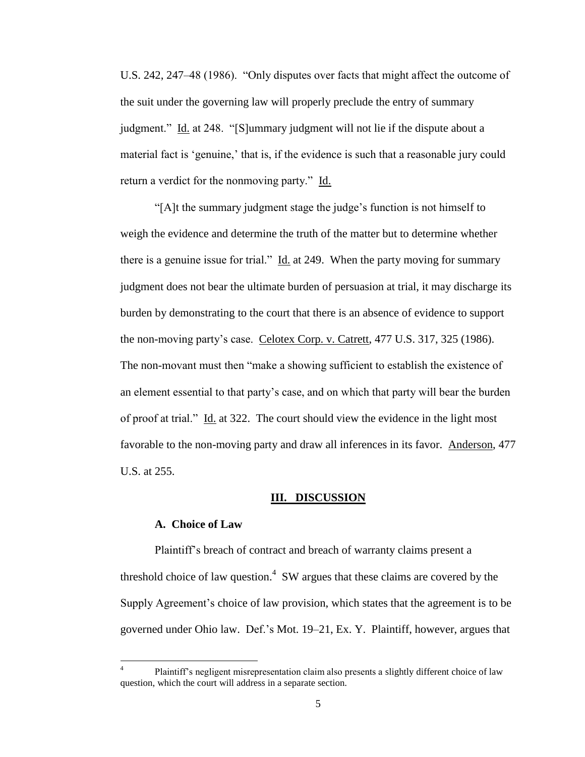U.S. 242, 247–48 (1986). "Only disputes over facts that might affect the outcome of the suit under the governing law will properly preclude the entry of summary judgment." Id. at 248. "[S]ummary judgment will not lie if the dispute about a material fact is 'genuine,' that is, if the evidence is such that a reasonable jury could return a verdict for the nonmoving party." Id.

"[A]t the summary judgment stage the judge's function is not himself to weigh the evidence and determine the truth of the matter but to determine whether there is a genuine issue for trial." Id. at 249. When the party moving for summary judgment does not bear the ultimate burden of persuasion at trial, it may discharge its burden by demonstrating to the court that there is an absence of evidence to support the non-moving party's case. Celotex Corp. v. Catrett, 477 U.S. 317, 325 (1986). The non-movant must then "make a showing sufficient to establish the existence of an element essential to that party's case, and on which that party will bear the burden of proof at trial." Id. at 322. The court should view the evidence in the light most favorable to the non-moving party and draw all inferences in its favor. Anderson, 477 U.S. at 255.

#### **III. DISCUSSION**

#### **A. Choice of Law**

 $\overline{\phantom{a}}$ 

Plaintiff's breach of contract and breach of warranty claims present a threshold choice of law question.<sup>4</sup> SW argues that these claims are covered by the Supply Agreement's choice of law provision, which states that the agreement is to be governed under Ohio law. Def.'s Mot. 19–21, Ex. Y. Plaintiff, however, argues that

<sup>4</sup> Plaintiff's negligent misrepresentation claim also presents a slightly different choice of law question, which the court will address in a separate section.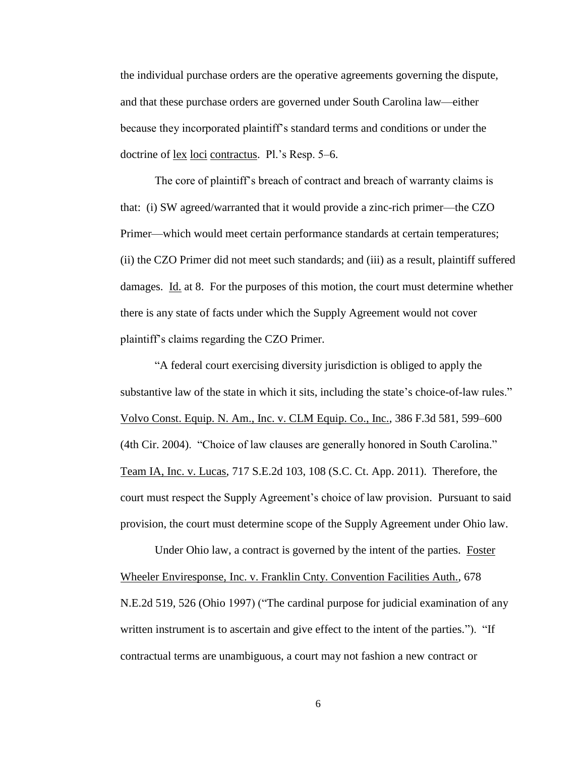the individual purchase orders are the operative agreements governing the dispute, and that these purchase orders are governed under South Carolina law—either because they incorporated plaintiff's standard terms and conditions or under the doctrine of lex loci contractus. Pl.'s Resp. 5–6.

The core of plaintiff's breach of contract and breach of warranty claims is that: (i) SW agreed/warranted that it would provide a zinc-rich primer—the CZO Primer—which would meet certain performance standards at certain temperatures; (ii) the CZO Primer did not meet such standards; and (iii) as a result, plaintiff suffered damages. Id. at 8. For the purposes of this motion, the court must determine whether there is any state of facts under which the Supply Agreement would not cover plaintiff's claims regarding the CZO Primer.

"A federal court exercising diversity jurisdiction is obliged to apply the substantive law of the state in which it sits, including the state's choice-of-law rules." Volvo Const. Equip. N. Am., Inc. v. CLM Equip. Co., Inc., 386 F.3d 581, 599–600 (4th Cir. 2004). "Choice of law clauses are generally honored in South Carolina." Team IA, Inc. v. Lucas, 717 S.E.2d 103, 108 (S.C. Ct. App. 2011). Therefore, the court must respect the Supply Agreement's choice of law provision. Pursuant to said provision, the court must determine scope of the Supply Agreement under Ohio law.

Under Ohio law, a contract is governed by the intent of the parties. Foster Wheeler Enviresponse, Inc. v. Franklin Cnty. Convention Facilities Auth., 678 N.E.2d 519, 526 (Ohio 1997) ("The cardinal purpose for judicial examination of any written instrument is to ascertain and give effect to the intent of the parties."). "If contractual terms are unambiguous, a court may not fashion a new contract or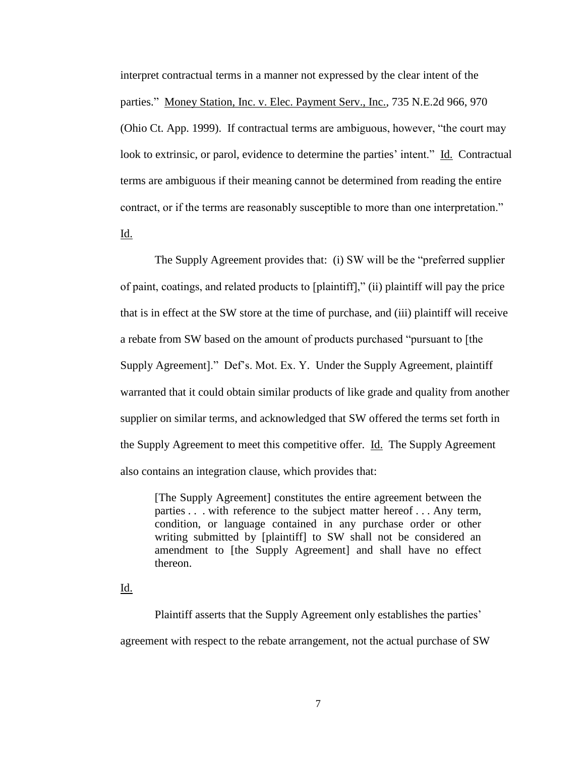interpret contractual terms in a manner not expressed by the clear intent of the parties." Money Station, Inc. v. Elec. Payment Serv., Inc., 735 N.E.2d 966, 970 (Ohio Ct. App. 1999). If contractual terms are ambiguous, however, "the court may look to extrinsic, or parol, evidence to determine the parties' intent." Id. Contractual terms are ambiguous if their meaning cannot be determined from reading the entire contract, or if the terms are reasonably susceptible to more than one interpretation."

Id.

The Supply Agreement provides that: (i) SW will be the "preferred supplier of paint, coatings, and related products to [plaintiff]," (ii) plaintiff will pay the price that is in effect at the SW store at the time of purchase, and (iii) plaintiff will receive a rebate from SW based on the amount of products purchased "pursuant to [the Supply Agreement]." Def's. Mot. Ex. Y. Under the Supply Agreement, plaintiff warranted that it could obtain similar products of like grade and quality from another supplier on similar terms, and acknowledged that SW offered the terms set forth in the Supply Agreement to meet this competitive offer. **Id.** The Supply Agreement also contains an integration clause, which provides that:

[The Supply Agreement] constitutes the entire agreement between the parties . . . with reference to the subject matter hereof . . . Any term, condition, or language contained in any purchase order or other writing submitted by [plaintiff] to SW shall not be considered an amendment to [the Supply Agreement] and shall have no effect thereon.

Id.

Plaintiff asserts that the Supply Agreement only establishes the parties' agreement with respect to the rebate arrangement, not the actual purchase of SW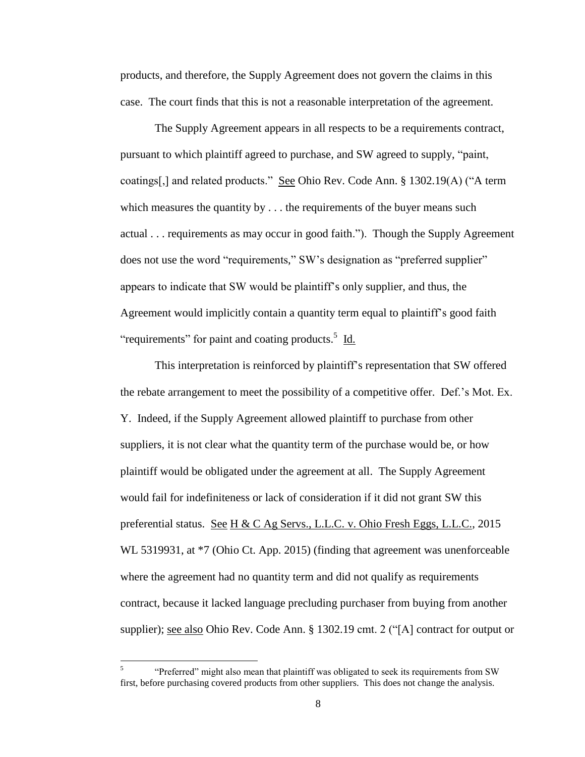products, and therefore, the Supply Agreement does not govern the claims in this case. The court finds that this is not a reasonable interpretation of the agreement.

The Supply Agreement appears in all respects to be a requirements contract, pursuant to which plaintiff agreed to purchase, and SW agreed to supply, "paint, coatings[,] and related products." See Ohio Rev. Code Ann. § 1302.19(A) ("A term which measures the quantity by  $\dots$  the requirements of the buyer means such actual . . . requirements as may occur in good faith."). Though the Supply Agreement does not use the word "requirements," SW's designation as "preferred supplier" appears to indicate that SW would be plaintiff's only supplier, and thus, the Agreement would implicitly contain a quantity term equal to plaintiff's good faith "requirements" for paint and coating products.<sup>5</sup> Id.

This interpretation is reinforced by plaintiff's representation that SW offered the rebate arrangement to meet the possibility of a competitive offer. Def.'s Mot. Ex. Y. Indeed, if the Supply Agreement allowed plaintiff to purchase from other suppliers, it is not clear what the quantity term of the purchase would be, or how plaintiff would be obligated under the agreement at all. The Supply Agreement would fail for indefiniteness or lack of consideration if it did not grant SW this preferential status. See H & C Ag Servs., L.L.C. v. Ohio Fresh Eggs, L.L.C., 2015 WL 5319931, at  $*7$  (Ohio Ct. App. 2015) (finding that agreement was unenforceable where the agreement had no quantity term and did not qualify as requirements contract, because it lacked language precluding purchaser from buying from another supplier); <u>see also</u> Ohio Rev. Code Ann. § 1302.19 cmt. 2 ("[A] contract for output or

 5 "Preferred" might also mean that plaintiff was obligated to seek its requirements from SW first, before purchasing covered products from other suppliers. This does not change the analysis.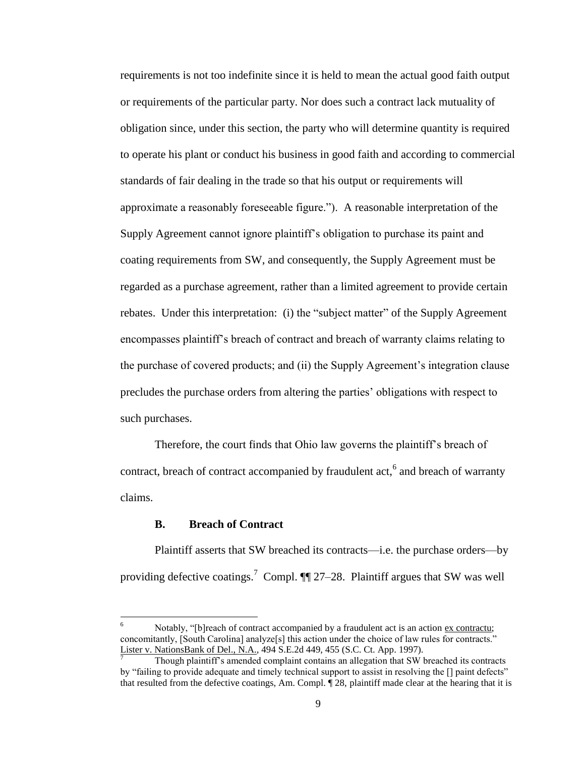requirements is not too indefinite since it is held to mean the actual good faith output or requirements of the particular party. Nor does such a contract lack mutuality of obligation since, under this section, the party who will determine quantity is required to operate his plant or conduct his business in good faith and according to commercial standards of fair dealing in the trade so that his output or requirements will approximate a reasonably foreseeable figure."). A reasonable interpretation of the Supply Agreement cannot ignore plaintiff's obligation to purchase its paint and coating requirements from SW, and consequently, the Supply Agreement must be regarded as a purchase agreement, rather than a limited agreement to provide certain rebates. Under this interpretation: (i) the "subject matter" of the Supply Agreement encompasses plaintiff's breach of contract and breach of warranty claims relating to the purchase of covered products; and (ii) the Supply Agreement's integration clause precludes the purchase orders from altering the parties' obligations with respect to such purchases.

Therefore, the court finds that Ohio law governs the plaintiff's breach of contract, breach of contract accompanied by fraudulent  $act<sub>o</sub><sup>6</sup>$  and breach of warranty claims.

### **B. Breach of Contract**

l

Plaintiff asserts that SW breached its contracts—i.e. the purchase orders—by providing defective coatings.<sup>7</sup> Compl.  $\P$  27–28. Plaintiff argues that SW was well

Notably, "[b]reach of contract accompanied by a fraudulent act is an action ex contractu; concomitantly, [South Carolina] analyze[s] this action under the choice of law rules for contracts." Lister v. NationsBank of Del., N.A., 494 S.E.2d 449, 455 (S.C. Ct. App. 1997).

<sup>7</sup> Though plaintiff's amended complaint contains an allegation that SW breached its contracts by "failing to provide adequate and timely technical support to assist in resolving the [] paint defects" that resulted from the defective coatings, Am. Compl. ¶ 28, plaintiff made clear at the hearing that it is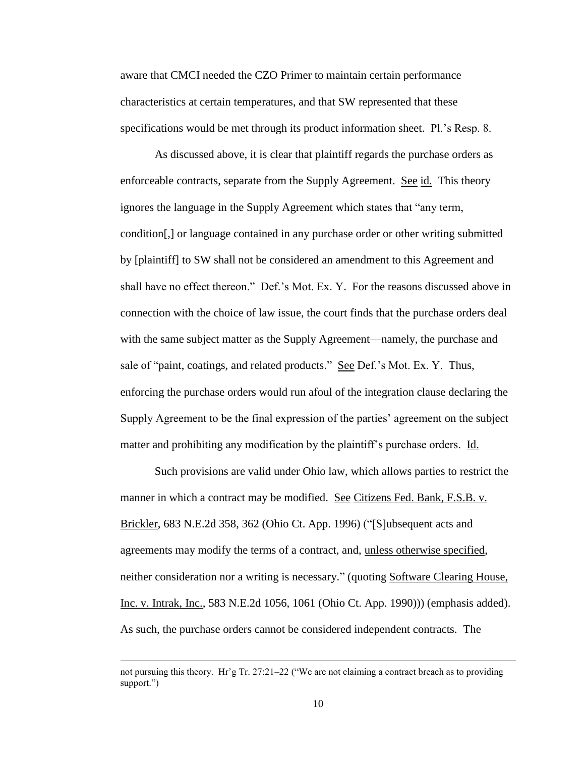aware that CMCI needed the CZO Primer to maintain certain performance characteristics at certain temperatures, and that SW represented that these specifications would be met through its product information sheet. Pl.'s Resp. 8.

As discussed above, it is clear that plaintiff regards the purchase orders as enforceable contracts, separate from the Supply Agreement. See id. This theory ignores the language in the Supply Agreement which states that "any term, condition[,] or language contained in any purchase order or other writing submitted by [plaintiff] to SW shall not be considered an amendment to this Agreement and shall have no effect thereon." Def.'s Mot. Ex. Y. For the reasons discussed above in connection with the choice of law issue, the court finds that the purchase orders deal with the same subject matter as the Supply Agreement—namely, the purchase and sale of "paint, coatings, and related products." See Def.'s Mot. Ex. Y. Thus, enforcing the purchase orders would run afoul of the integration clause declaring the Supply Agreement to be the final expression of the parties' agreement on the subject matter and prohibiting any modification by the plaintiff's purchase orders. Id.

Such provisions are valid under Ohio law, which allows parties to restrict the manner in which a contract may be modified. See Citizens Fed. Bank, F.S.B. v. Brickler, 683 N.E.2d 358, 362 (Ohio Ct. App. 1996) ("[S]ubsequent acts and agreements may modify the terms of a contract, and, unless otherwise specified, neither consideration nor a writing is necessary." (quoting Software Clearing House, Inc. v. Intrak, Inc., 583 N.E.2d 1056, 1061 (Ohio Ct. App. 1990))) (emphasis added). As such, the purchase orders cannot be considered independent contracts. The

 $\overline{\phantom{a}}$ 

not pursuing this theory. Hr'g Tr. 27:21–22 ("We are not claiming a contract breach as to providing support.")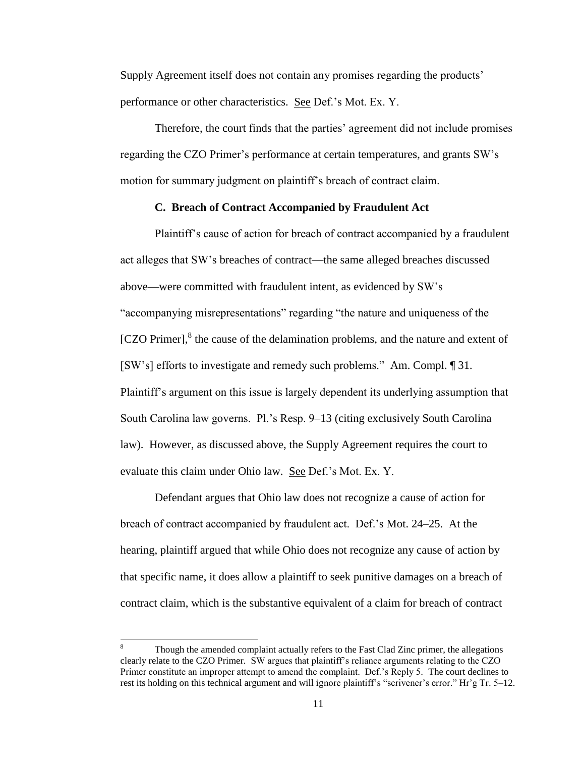Supply Agreement itself does not contain any promises regarding the products' performance or other characteristics. See Def.'s Mot. Ex. Y.

Therefore, the court finds that the parties' agreement did not include promises regarding the CZO Primer's performance at certain temperatures, and grants SW's motion for summary judgment on plaintiff's breach of contract claim.

### **C. Breach of Contract Accompanied by Fraudulent Act**

Plaintiff's cause of action for breach of contract accompanied by a fraudulent act alleges that SW's breaches of contract—the same alleged breaches discussed above—were committed with fraudulent intent, as evidenced by SW's "accompanying misrepresentations" regarding "the nature and uniqueness of the [CZO Primer],<sup>8</sup> the cause of the delamination problems, and the nature and extent of [SW's] efforts to investigate and remedy such problems." Am. Compl. ¶ 31. Plaintiff's argument on this issue is largely dependent its underlying assumption that South Carolina law governs. Pl.'s Resp. 9–13 (citing exclusively South Carolina law). However, as discussed above, the Supply Agreement requires the court to evaluate this claim under Ohio law. See Def.'s Mot. Ex. Y.

Defendant argues that Ohio law does not recognize a cause of action for breach of contract accompanied by fraudulent act. Def.'s Mot. 24–25. At the hearing, plaintiff argued that while Ohio does not recognize any cause of action by that specific name, it does allow a plaintiff to seek punitive damages on a breach of contract claim, which is the substantive equivalent of a claim for breach of contract

 $\overline{\phantom{a}}$ 

Though the amended complaint actually refers to the Fast Clad Zinc primer, the allegations clearly relate to the CZO Primer. SW argues that plaintiff's reliance arguments relating to the CZO Primer constitute an improper attempt to amend the complaint. Def.'s Reply 5. The court declines to rest its holding on this technical argument and will ignore plaintiff's "scrivener's error." Hr'g Tr. 5–12.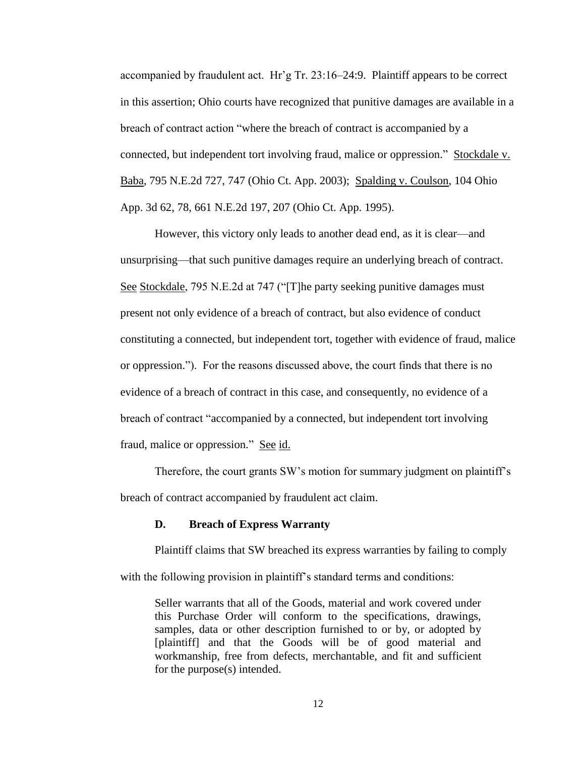accompanied by fraudulent act. Hr'g Tr. 23:16–24:9. Plaintiff appears to be correct in this assertion; Ohio courts have recognized that punitive damages are available in a breach of contract action "where the breach of contract is accompanied by a connected, but independent tort involving fraud, malice or oppression." Stockdale v. Baba, 795 N.E.2d 727, 747 (Ohio Ct. App. 2003); Spalding v. Coulson, 104 Ohio App. 3d 62, 78, 661 N.E.2d 197, 207 (Ohio Ct. App. 1995).

However, this victory only leads to another dead end, as it is clear—and unsurprising—that such punitive damages require an underlying breach of contract. See Stockdale, 795 N.E.2d at 747 ("The party seeking punitive damages must present not only evidence of a breach of contract, but also evidence of conduct constituting a connected, but independent tort, together with evidence of fraud, malice or oppression."). For the reasons discussed above, the court finds that there is no evidence of a breach of contract in this case, and consequently, no evidence of a breach of contract "accompanied by a connected, but independent tort involving fraud, malice or oppression." See id.

Therefore, the court grants SW's motion for summary judgment on plaintiff's breach of contract accompanied by fraudulent act claim.

### **D. Breach of Express Warranty**

Plaintiff claims that SW breached its express warranties by failing to comply with the following provision in plaintiff's standard terms and conditions:

Seller warrants that all of the Goods, material and work covered under this Purchase Order will conform to the specifications, drawings, samples, data or other description furnished to or by, or adopted by [plaintiff] and that the Goods will be of good material and workmanship, free from defects, merchantable, and fit and sufficient for the purpose(s) intended.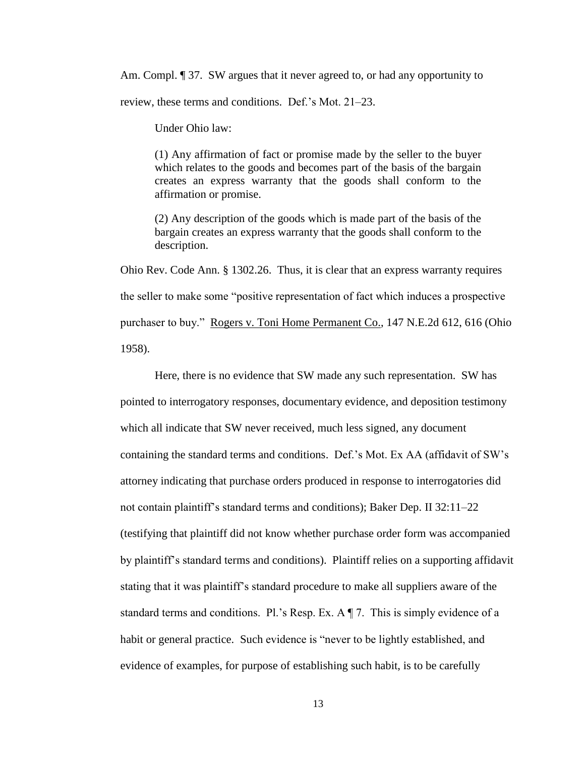Am. Compl. **J** 37. SW argues that it never agreed to, or had any opportunity to review, these terms and conditions. Def.'s Mot. 21–23.

Under Ohio law:

(1) Any affirmation of fact or promise made by the seller to the buyer which relates to the goods and becomes part of the basis of the bargain creates an express warranty that the goods shall conform to the affirmation or promise.

(2) Any description of the goods which is made part of the basis of the bargain creates an express warranty that the goods shall conform to the description.

Ohio Rev. Code Ann. § 1302.26. Thus, it is clear that an express warranty requires the seller to make some "positive representation of fact which induces a prospective purchaser to buy." Rogers v. Toni Home Permanent Co., 147 N.E.2d 612, 616 (Ohio 1958).

Here, there is no evidence that SW made any such representation. SW has pointed to interrogatory responses, documentary evidence, and deposition testimony which all indicate that SW never received, much less signed, any document containing the standard terms and conditions. Def.'s Mot. Ex AA (affidavit of SW's attorney indicating that purchase orders produced in response to interrogatories did not contain plaintiff's standard terms and conditions); Baker Dep. II 32:11–22 (testifying that plaintiff did not know whether purchase order form was accompanied by plaintiff's standard terms and conditions). Plaintiff relies on a supporting affidavit stating that it was plaintiff's standard procedure to make all suppliers aware of the standard terms and conditions. Pl.'s Resp. Ex.  $A \P 7$ . This is simply evidence of a habit or general practice. Such evidence is "never to be lightly established, and evidence of examples, for purpose of establishing such habit, is to be carefully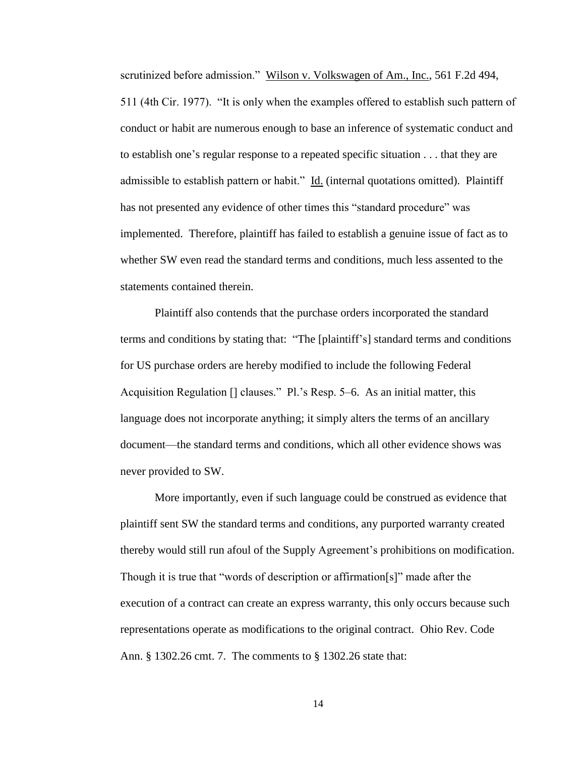scrutinized before admission." Wilson v. Volkswagen of Am., Inc., 561 F.2d 494, 511 (4th Cir. 1977). "It is only when the examples offered to establish such pattern of conduct or habit are numerous enough to base an inference of systematic conduct and to establish one's regular response to a repeated specific situation . . . that they are admissible to establish pattern or habit." Id. (internal quotations omitted). Plaintiff has not presented any evidence of other times this "standard procedure" was implemented. Therefore, plaintiff has failed to establish a genuine issue of fact as to whether SW even read the standard terms and conditions, much less assented to the statements contained therein.

Plaintiff also contends that the purchase orders incorporated the standard terms and conditions by stating that: "The [plaintiff's] standard terms and conditions for US purchase orders are hereby modified to include the following Federal Acquisition Regulation [] clauses." Pl.'s Resp. 5–6. As an initial matter, this language does not incorporate anything; it simply alters the terms of an ancillary document—the standard terms and conditions, which all other evidence shows was never provided to SW.

More importantly, even if such language could be construed as evidence that plaintiff sent SW the standard terms and conditions, any purported warranty created thereby would still run afoul of the Supply Agreement's prohibitions on modification. Though it is true that "words of description or affirmation[s]" made after the execution of a contract can create an express warranty, this only occurs because such representations operate as modifications to the original contract. Ohio Rev. Code Ann. § 1302.26 cmt. 7. The comments to § 1302.26 state that: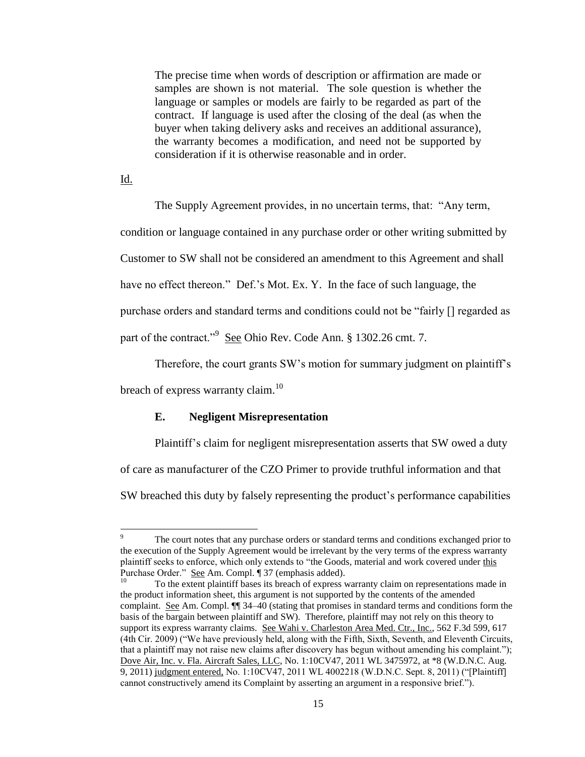The precise time when words of description or affirmation are made or samples are shown is not material. The sole question is whether the language or samples or models are fairly to be regarded as part of the contract. If language is used after the closing of the deal (as when the buyer when taking delivery asks and receives an additional assurance), the warranty becomes a modification, and need not be supported by consideration if it is otherwise reasonable and in order.

Id.

The Supply Agreement provides, in no uncertain terms, that: "Any term, condition or language contained in any purchase order or other writing submitted by Customer to SW shall not be considered an amendment to this Agreement and shall have no effect thereon." Def.'s Mot. Ex. Y. In the face of such language, the purchase orders and standard terms and conditions could not be "fairly [] regarded as part of the contract."<sup>9</sup> See Ohio Rev. Code Ann. § 1302.26 cmt. 7.

Therefore, the court grants SW's motion for summary judgment on plaintiff's breach of express warranty claim.<sup>10</sup>

### **E. Negligent Misrepresentation**

Plaintiff's claim for negligent misrepresentation asserts that SW owed a duty

of care as manufacturer of the CZO Primer to provide truthful information and that

SW breached this duty by falsely representing the product's performance capabilities

 $\overline{Q}$ The court notes that any purchase orders or standard terms and conditions exchanged prior to the execution of the Supply Agreement would be irrelevant by the very terms of the express warranty plaintiff seeks to enforce, which only extends to "the Goods, material and work covered under this Purchase Order." <u>See</u> Am. Compl. ¶ 37 (emphasis added).

<sup>10</sup> To the extent plaintiff bases its breach of express warranty claim on representations made in the product information sheet, this argument is not supported by the contents of the amended complaint. See Am. Compl.  $\P$  34–40 (stating that promises in standard terms and conditions form the basis of the bargain between plaintiff and SW). Therefore, plaintiff may not rely on this theory to support its express warranty claims. See Wahi v. Charleston Area Med. Ctr., Inc., 562 F.3d 599, 617 (4th Cir. 2009) ("We have previously held, along with the Fifth, Sixth, Seventh, and Eleventh Circuits, that a plaintiff may not raise new claims after discovery has begun without amending his complaint."); Dove Air, Inc. v. Fla. Aircraft Sales, LLC, No. 1:10CV47, 2011 WL 3475972, at \*8 (W.D.N.C. Aug. 9, 2011) judgment entered, No. 1:10CV47, 2011 WL 4002218 (W.D.N.C. Sept. 8, 2011) ("[Plaintiff] cannot constructively amend its Complaint by asserting an argument in a responsive brief.").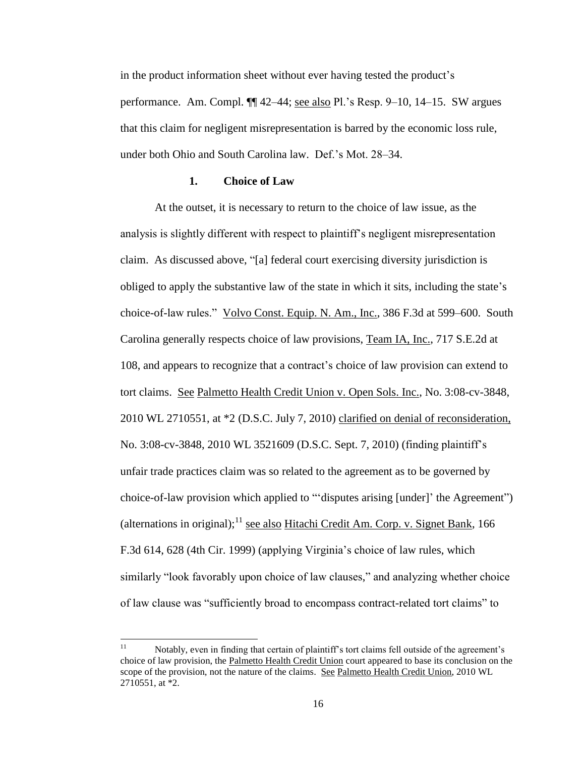in the product information sheet without ever having tested the product's performance. Am. Compl. ¶¶ 42–44; see also Pl.'s Resp. 9–10, 14–15. SW argues that this claim for negligent misrepresentation is barred by the economic loss rule, under both Ohio and South Carolina law. Def.'s Mot. 28–34.

### **1. Choice of Law**

At the outset, it is necessary to return to the choice of law issue, as the analysis is slightly different with respect to plaintiff's negligent misrepresentation claim. As discussed above, "[a] federal court exercising diversity jurisdiction is obliged to apply the substantive law of the state in which it sits, including the state's choice-of-law rules." Volvo Const. Equip. N. Am., Inc., 386 F.3d at 599–600. South Carolina generally respects choice of law provisions, Team IA, Inc., 717 S.E.2d at 108, and appears to recognize that a contract's choice of law provision can extend to tort claims. See Palmetto Health Credit Union v. Open Sols. Inc., No. 3:08-cv-3848, 2010 WL 2710551, at \*2 (D.S.C. July 7, 2010) clarified on denial of reconsideration, No. 3:08-cv-3848, 2010 WL 3521609 (D.S.C. Sept. 7, 2010) (finding plaintiff's unfair trade practices claim was so related to the agreement as to be governed by choice-of-law provision which applied to "'disputes arising [under]' the Agreement") (alternations in original);  $11$  see also Hitachi Credit Am. Corp. v. Signet Bank, 166 F.3d 614, 628 (4th Cir. 1999) (applying Virginia's choice of law rules, which similarly "look favorably upon choice of law clauses," and analyzing whether choice of law clause was "sufficiently broad to encompass contract-related tort claims" to

 $11$ Notably, even in finding that certain of plaintiff's tort claims fell outside of the agreement's choice of law provision, the Palmetto Health Credit Union court appeared to base its conclusion on the scope of the provision, not the nature of the claims. See Palmetto Health Credit Union, 2010 WL 2710551, at \*2.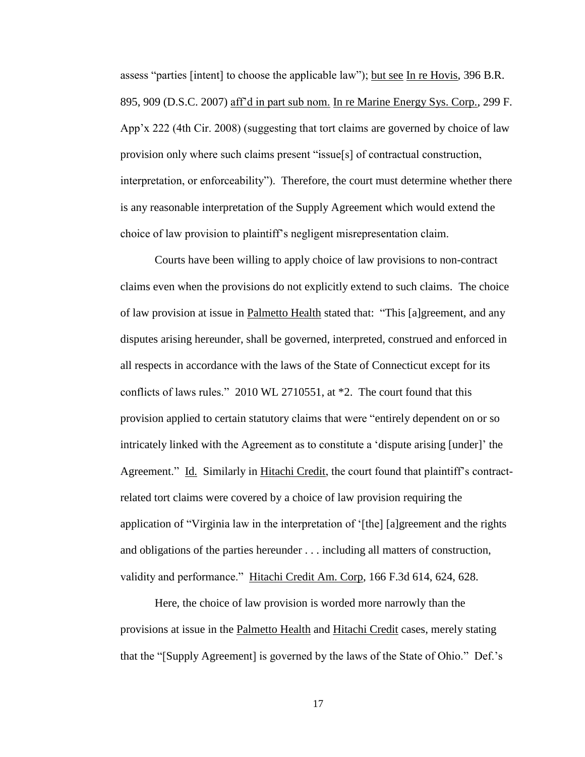assess "parties [intent] to choose the applicable law"); but see In re Hovis, 396 B.R. 895, 909 (D.S.C. 2007) aff'd in part sub nom. In re Marine Energy Sys. Corp., 299 F. App'x 222 (4th Cir. 2008) (suggesting that tort claims are governed by choice of law provision only where such claims present "issue[s] of contractual construction, interpretation, or enforceability"). Therefore, the court must determine whether there is any reasonable interpretation of the Supply Agreement which would extend the choice of law provision to plaintiff's negligent misrepresentation claim.

Courts have been willing to apply choice of law provisions to non-contract claims even when the provisions do not explicitly extend to such claims. The choice of law provision at issue in Palmetto Health stated that: "This [a]greement, and any disputes arising hereunder, shall be governed, interpreted, construed and enforced in all respects in accordance with the laws of the State of Connecticut except for its conflicts of laws rules." 2010 WL 2710551, at \*2. The court found that this provision applied to certain statutory claims that were "entirely dependent on or so intricately linked with the Agreement as to constitute a 'dispute arising [under]' the Agreement." Id. Similarly in Hitachi Credit, the court found that plaintiff's contractrelated tort claims were covered by a choice of law provision requiring the application of "Virginia law in the interpretation of '[the] [a]greement and the rights and obligations of the parties hereunder . . . including all matters of construction, validity and performance." Hitachi Credit Am. Corp, 166 F.3d 614, 624, 628.

Here, the choice of law provision is worded more narrowly than the provisions at issue in the Palmetto Health and Hitachi Credit cases, merely stating that the "[Supply Agreement] is governed by the laws of the State of Ohio." Def.'s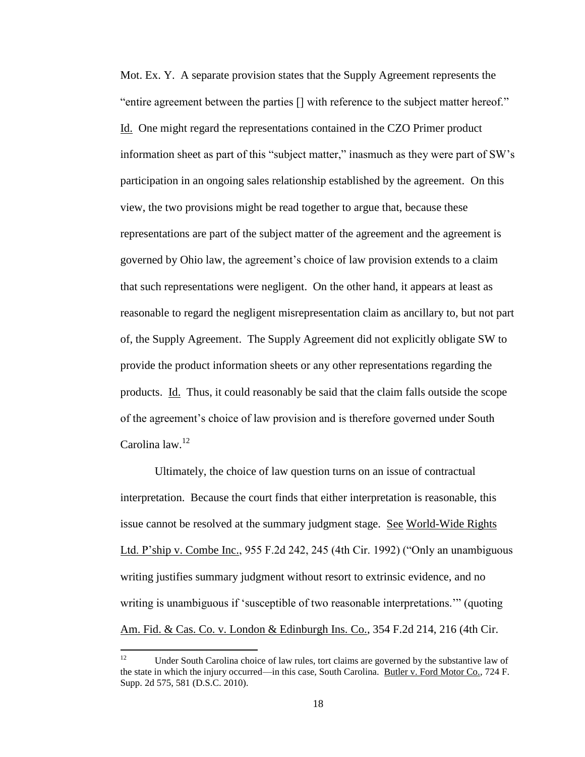Mot. Ex. Y. A separate provision states that the Supply Agreement represents the "entire agreement between the parties [] with reference to the subject matter hereof." Id. One might regard the representations contained in the CZO Primer product information sheet as part of this "subject matter," inasmuch as they were part of SW's participation in an ongoing sales relationship established by the agreement. On this view, the two provisions might be read together to argue that, because these representations are part of the subject matter of the agreement and the agreement is governed by Ohio law, the agreement's choice of law provision extends to a claim that such representations were negligent. On the other hand, it appears at least as reasonable to regard the negligent misrepresentation claim as ancillary to, but not part of, the Supply Agreement. The Supply Agreement did not explicitly obligate SW to provide the product information sheets or any other representations regarding the products. Id. Thus, it could reasonably be said that the claim falls outside the scope of the agreement's choice of law provision and is therefore governed under South Carolina law.<sup>12</sup>

Ultimately, the choice of law question turns on an issue of contractual interpretation. Because the court finds that either interpretation is reasonable, this issue cannot be resolved at the summary judgment stage. See World-Wide Rights Ltd. P'ship v. Combe Inc., 955 F.2d 242, 245 (4th Cir. 1992) ("Only an unambiguous writing justifies summary judgment without resort to extrinsic evidence, and no writing is unambiguous if 'susceptible of two reasonable interpretations.'" (quoting Am. Fid. & Cas. Co. v. London & Edinburgh Ins. Co., 354 F.2d 214, 216 (4th Cir.

<sup>12</sup> Under South Carolina choice of law rules, tort claims are governed by the substantive law of the state in which the injury occurred—in this case, South Carolina. Butler v. Ford Motor Co., 724 F. Supp. 2d 575, 581 (D.S.C. 2010).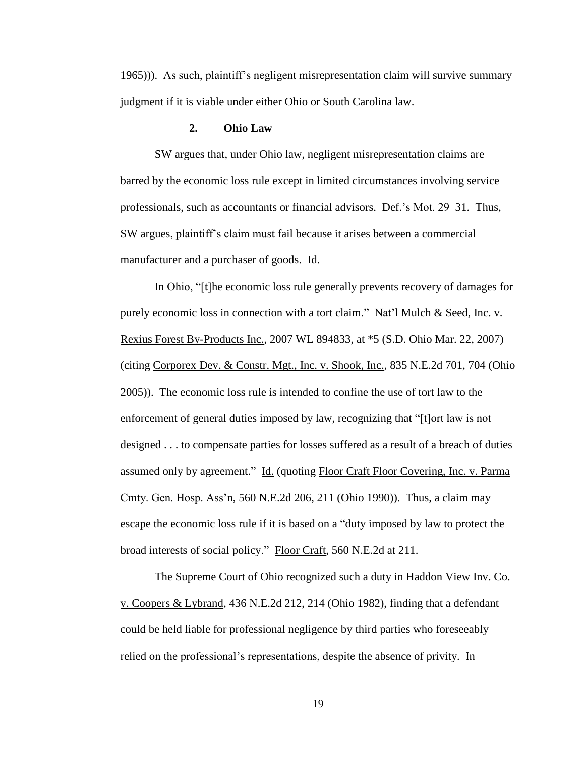1965))). As such, plaintiff's negligent misrepresentation claim will survive summary judgment if it is viable under either Ohio or South Carolina law.

## **2. Ohio Law**

SW argues that, under Ohio law, negligent misrepresentation claims are barred by the economic loss rule except in limited circumstances involving service professionals, such as accountants or financial advisors. Def.'s Mot. 29–31. Thus, SW argues, plaintiff's claim must fail because it arises between a commercial manufacturer and a purchaser of goods. Id.

In Ohio, "[t]he economic loss rule generally prevents recovery of damages for purely economic loss in connection with a tort claim." Nat'l Mulch & Seed, Inc. v. Rexius Forest By-Products Inc., 2007 WL 894833, at \*5 (S.D. Ohio Mar. 22, 2007) (citing Corporex Dev. & Constr. Mgt., Inc. v. Shook, Inc., 835 N.E.2d 701, 704 (Ohio 2005)). The economic loss rule is intended to confine the use of tort law to the enforcement of general duties imposed by law, recognizing that "[t]ort law is not designed . . . to compensate parties for losses suffered as a result of a breach of duties assumed only by agreement." Id. (quoting Floor Craft Floor Covering, Inc. v. Parma Cmty. Gen. Hosp. Ass'n, 560 N.E.2d 206, 211 (Ohio 1990)). Thus, a claim may escape the economic loss rule if it is based on a "duty imposed by law to protect the broad interests of social policy." Floor Craft, 560 N.E.2d at 211.

The Supreme Court of Ohio recognized such a duty in Haddon View Inv. Co. v. Coopers & Lybrand, 436 N.E.2d 212, 214 (Ohio 1982), finding that a defendant could be held liable for professional negligence by third parties who foreseeably relied on the professional's representations, despite the absence of privity. In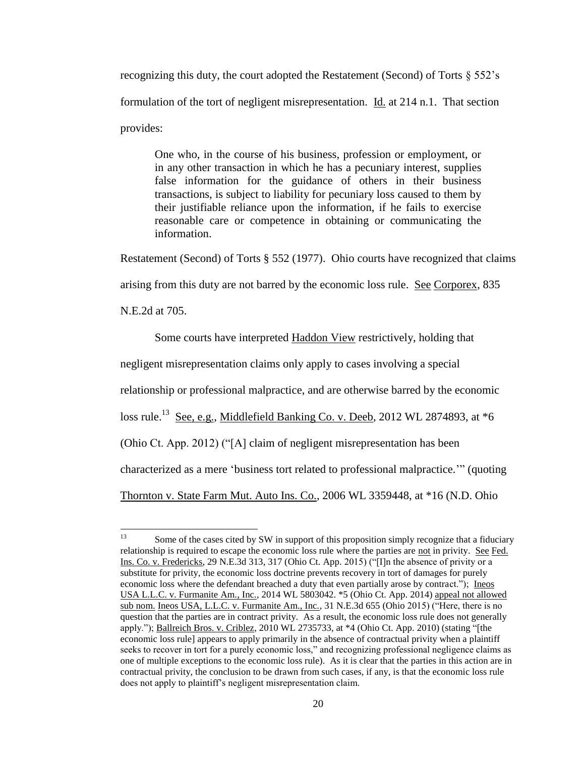recognizing this duty, the court adopted the Restatement (Second) of Torts § 552's formulation of the tort of negligent misrepresentation. Id. at 214 n.1. That section provides:

One who, in the course of his business, profession or employment, or in any other transaction in which he has a pecuniary interest, supplies false information for the guidance of others in their business transactions, is subject to liability for pecuniary loss caused to them by their justifiable reliance upon the information, if he fails to exercise reasonable care or competence in obtaining or communicating the information.

Restatement (Second) of Torts § 552 (1977). Ohio courts have recognized that claims

arising from this duty are not barred by the economic loss rule. See Corporex, 835

N.E.2d at 705.

Some courts have interpreted Haddon View restrictively, holding that

negligent misrepresentation claims only apply to cases involving a special

relationship or professional malpractice, and are otherwise barred by the economic

loss rule.<sup>13</sup> See, e.g., Middlefield Banking Co. v. Deeb, 2012 WL 2874893, at \*6

(Ohio Ct. App. 2012) ("[A] claim of negligent misrepresentation has been

characterized as a mere 'business tort related to professional malpractice.'" (quoting

Thornton v. State Farm Mut. Auto Ins. Co., 2006 WL 3359448, at \*16 (N.D. Ohio

 $13<sup>°</sup>$ Some of the cases cited by SW in support of this proposition simply recognize that a fiduciary relationship is required to escape the economic loss rule where the parties are not in privity. See Fed. Ins. Co. v. Fredericks, 29 N.E.3d 313, 317 (Ohio Ct. App. 2015) ("[I]n the absence of privity or a substitute for privity, the economic loss doctrine prevents recovery in tort of damages for purely economic loss where the defendant breached a duty that even partially arose by contract."); Ineos USA L.L.C. v. Furmanite Am., Inc., 2014 WL 5803042. \*5 (Ohio Ct. App. 2014) appeal not allowed sub nom. Ineos USA, L.L.C. v. Furmanite Am., Inc., 31 N.E.3d 655 (Ohio 2015) ("Here, there is no question that the parties are in contract privity. As a result, the economic loss rule does not generally apply."); Ballreich Bros. v. Criblez, 2010 WL 2735733, at \*4 (Ohio Ct. App. 2010) (stating "[the economic loss rule] appears to apply primarily in the absence of contractual privity when a plaintiff seeks to recover in tort for a purely economic loss," and recognizing professional negligence claims as one of multiple exceptions to the economic loss rule). As it is clear that the parties in this action are in contractual privity, the conclusion to be drawn from such cases, if any, is that the economic loss rule does not apply to plaintiff's negligent misrepresentation claim.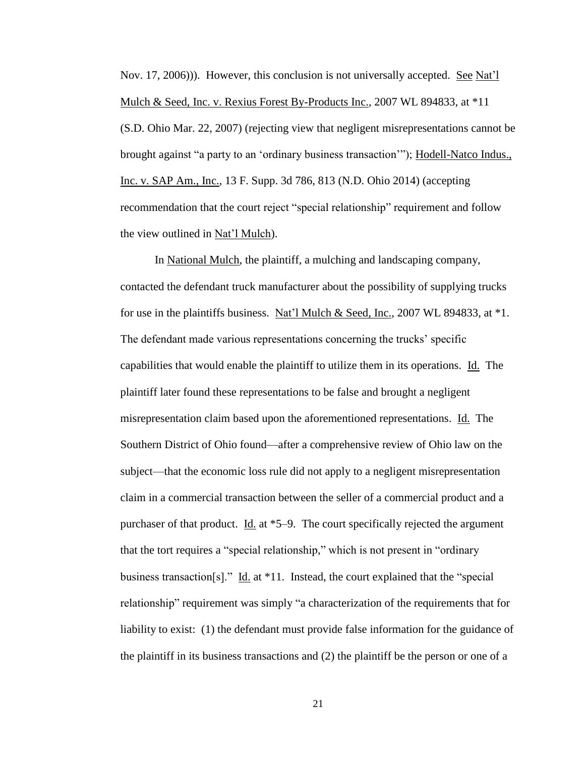Nov. 17, 2006))). However, this conclusion is not universally accepted. See Nat'l Mulch & Seed, Inc. v. Rexius Forest By-Products Inc., 2007 WL 894833, at \*11 (S.D. Ohio Mar. 22, 2007) (rejecting view that negligent misrepresentations cannot be brought against "a party to an 'ordinary business transaction'"); Hodell-Natco Indus., Inc. v. SAP Am., Inc., 13 F. Supp. 3d 786, 813 (N.D. Ohio 2014) (accepting recommendation that the court reject "special relationship" requirement and follow the view outlined in Nat'l Mulch).

In National Mulch, the plaintiff, a mulching and landscaping company, contacted the defendant truck manufacturer about the possibility of supplying trucks for use in the plaintiffs business. Nat'l Mulch & Seed, Inc., 2007 WL 894833, at  $*1$ . The defendant made various representations concerning the trucks' specific capabilities that would enable the plaintiff to utilize them in its operations. Id. The plaintiff later found these representations to be false and brought a negligent misrepresentation claim based upon the aforementioned representations. Id. The Southern District of Ohio found—after a comprehensive review of Ohio law on the subject—that the economic loss rule did not apply to a negligent misrepresentation claim in a commercial transaction between the seller of a commercial product and a purchaser of that product. Id. at \*5–9. The court specifically rejected the argument that the tort requires a "special relationship," which is not present in "ordinary business transaction[s]." Id. at  $*11$ . Instead, the court explained that the "special relationship" requirement was simply "a characterization of the requirements that for liability to exist: (1) the defendant must provide false information for the guidance of the plaintiff in its business transactions and (2) the plaintiff be the person or one of a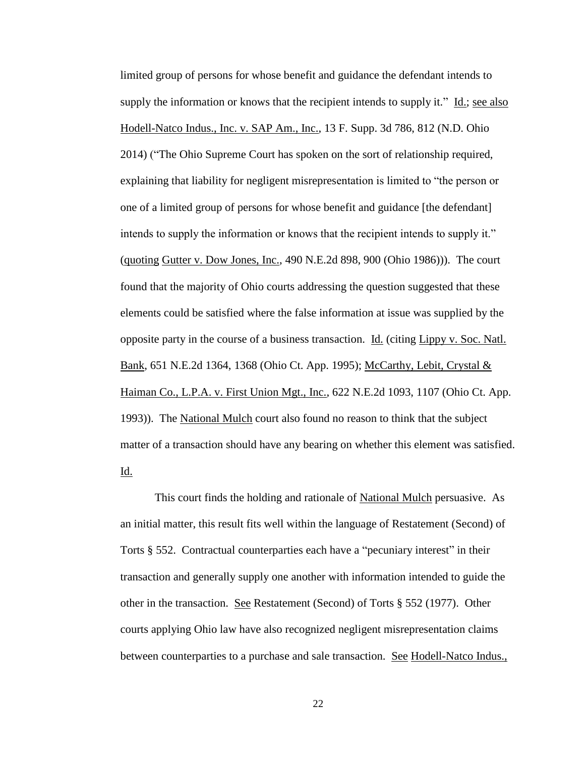limited group of persons for whose benefit and guidance the defendant intends to supply the information or knows that the recipient intends to supply it." Id.; see also Hodell-Natco Indus., Inc. v. SAP Am., Inc., 13 F. Supp. 3d 786, 812 (N.D. Ohio 2014) ("The Ohio Supreme Court has spoken on the sort of relationship required, explaining that liability for negligent misrepresentation is limited to "the person or one of a limited group of persons for whose benefit and guidance [the defendant] intends to supply the information or knows that the recipient intends to supply it." (quoting Gutter v. Dow Jones, Inc., 490 N.E.2d 898, 900 (Ohio 1986))). The court found that the majority of Ohio courts addressing the question suggested that these elements could be satisfied where the false information at issue was supplied by the opposite party in the course of a business transaction. Id. (citing Lippy v. Soc. Natl. Bank, 651 N.E.2d 1364, 1368 (Ohio Ct. App. 1995); McCarthy, Lebit, Crystal & Haiman Co., L.P.A. v. First Union Mgt., Inc., 622 N.E.2d 1093, 1107 (Ohio Ct. App. 1993)). The National Mulch court also found no reason to think that the subject matter of a transaction should have any bearing on whether this element was satisfied. Id.

This court finds the holding and rationale of National Mulch persuasive. As an initial matter, this result fits well within the language of Restatement (Second) of Torts § 552. Contractual counterparties each have a "pecuniary interest" in their transaction and generally supply one another with information intended to guide the other in the transaction. <u>See</u> Restatement (Second) of Torts  $\S 552$  (1977). Other courts applying Ohio law have also recognized negligent misrepresentation claims between counterparties to a purchase and sale transaction. See Hodell-Natco Indus.,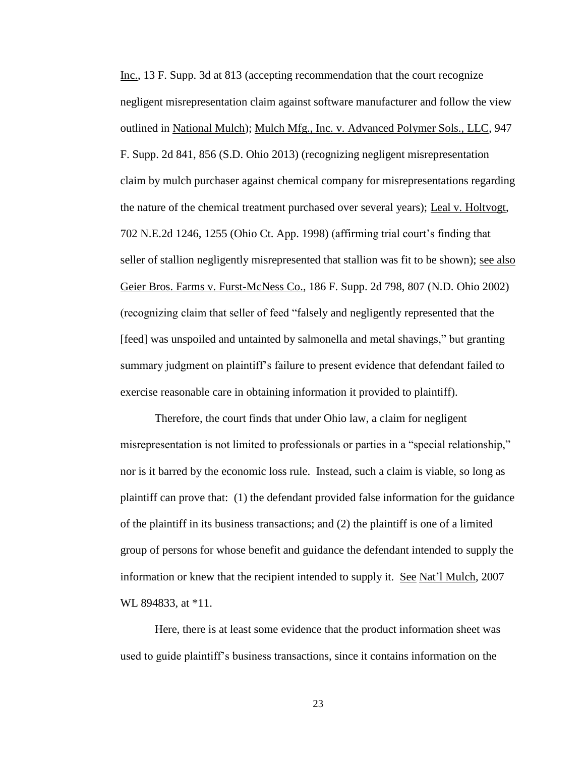Inc., 13 F. Supp. 3d at 813 (accepting recommendation that the court recognize negligent misrepresentation claim against software manufacturer and follow the view outlined in National Mulch); Mulch Mfg., Inc. v. Advanced Polymer Sols., LLC, 947 F. Supp. 2d 841, 856 (S.D. Ohio 2013) (recognizing negligent misrepresentation claim by mulch purchaser against chemical company for misrepresentations regarding the nature of the chemical treatment purchased over several years); Leal v. Holtvogt, 702 N.E.2d 1246, 1255 (Ohio Ct. App. 1998) (affirming trial court's finding that seller of stallion negligently misrepresented that stallion was fit to be shown); see also Geier Bros. Farms v. Furst-McNess Co., 186 F. Supp. 2d 798, 807 (N.D. Ohio 2002) (recognizing claim that seller of feed "falsely and negligently represented that the [feed] was unspoiled and untainted by salmonella and metal shavings," but granting summary judgment on plaintiff's failure to present evidence that defendant failed to exercise reasonable care in obtaining information it provided to plaintiff).

Therefore, the court finds that under Ohio law, a claim for negligent misrepresentation is not limited to professionals or parties in a "special relationship," nor is it barred by the economic loss rule. Instead, such a claim is viable, so long as plaintiff can prove that: (1) the defendant provided false information for the guidance of the plaintiff in its business transactions; and (2) the plaintiff is one of a limited group of persons for whose benefit and guidance the defendant intended to supply the information or knew that the recipient intended to supply it. See Nat'l Mulch, 2007 WL 894833, at \*11.

Here, there is at least some evidence that the product information sheet was used to guide plaintiff's business transactions, since it contains information on the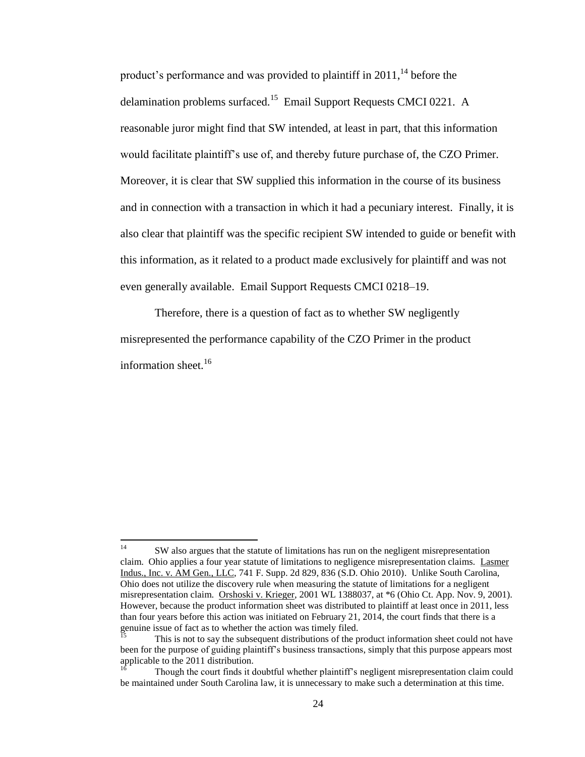product's performance and was provided to plaintiff in  $2011$ ,<sup>14</sup> before the delamination problems surfaced.<sup>15</sup> Email Support Requests CMCI 0221. A reasonable juror might find that SW intended, at least in part, that this information would facilitate plaintiff's use of, and thereby future purchase of, the CZO Primer. Moreover, it is clear that SW supplied this information in the course of its business and in connection with a transaction in which it had a pecuniary interest. Finally, it is also clear that plaintiff was the specific recipient SW intended to guide or benefit with this information, as it related to a product made exclusively for plaintiff and was not even generally available. Email Support Requests CMCI 0218–19.

Therefore, there is a question of fact as to whether SW negligently misrepresented the performance capability of the CZO Primer in the product information sheet.<sup>16</sup>

 $14\,$ SW also argues that the statute of limitations has run on the negligent misrepresentation claim. Ohio applies a four year statute of limitations to negligence misrepresentation claims. Lasmer Indus., Inc. v. AM Gen., LLC, 741 F. Supp. 2d 829, 836 (S.D. Ohio 2010). Unlike South Carolina, Ohio does not utilize the discovery rule when measuring the statute of limitations for a negligent misrepresentation claim. Orshoski v. Krieger, 2001 WL 1388037, at \*6 (Ohio Ct. App. Nov. 9, 2001). However, because the product information sheet was distributed to plaintiff at least once in 2011, less than four years before this action was initiated on February 21, 2014, the court finds that there is a genuine issue of fact as to whether the action was timely filed.

<sup>15</sup> This is not to say the subsequent distributions of the product information sheet could not have been for the purpose of guiding plaintiff's business transactions, simply that this purpose appears most applicable to the 2011 distribution.

<sup>16</sup> Though the court finds it doubtful whether plaintiff's negligent misrepresentation claim could be maintained under South Carolina law, it is unnecessary to make such a determination at this time.